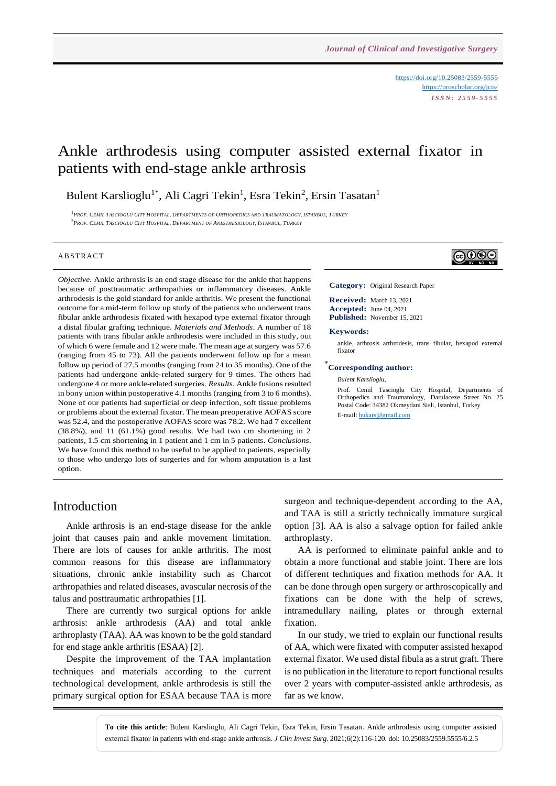<https://doi.org/10.25083/2559-5555> <https://proscholar.org/jcis/> *I S S N : 2 5 5 9 - 5 5 5 5*

# Ankle arthrodesis using computer assisted external fixator in patients with end-stage ankle arthrosis

Bulent Karslioglu<sup>1\*</sup>, Ali Cagri Tekin<sup>1</sup>, Esra Tekin<sup>2</sup>, Ersin Tasatan<sup>1</sup>

 $^1$ Prof. Cemil Tascioglu City Hospital, Departments of Orthopedics and Traumatology, Istanbul, Turkey  $^2$ Prof. Cemil Tascioglu City Hospital, Department of Anesthesiology, Istanbul, Turkey

#### **ABSTRACT**

*Objective*. Ankle arthrosis is an end stage disease for the ankle that happens because of posttraumatic arthropathies or inflammatory diseases. Ankle arthrodesis is the gold standard for ankle arthritis. We present the functional outcome for a mid-term follow up study of the patients who underwent trans fibular ankle arthrodesis fixated with hexapod type external fixator through a distal fibular grafting technique. *Materials and Methods*. A number of 18 patients with trans fibular ankle arthrodesis were included in this study, out of which 6 were female and 12 were male. The mean age at surgery was 57.6 (ranging from 45 to 73). All the patients underwent follow up for a mean follow up period of 27.5 months (ranging from 24 to 35 months). One of the patients had undergone ankle-related surgery for 9 times. The others had undergone 4 or more ankle-related surgeries. *Results*. Ankle fusions resulted in bony union within postoperative 4.1 months (ranging from 3 to 6 months). None of our patients had superficial or deep infection, soft tissue problems or problems about the external fixator. The mean preoperative AOFAS score was 52.4, and the postoperative AOFAS score was 78.2. We had 7 excellent (38.8%), and 11 (61.1%) good results. We had two cm shortening in 2 patients, 1.5 cm shortening in 1 patient and 1 cm in 5 patients. *Conclusions*. We have found this method to be useful to be applied to patients, especially to those who undergo lots of surgeries and for whom amputation is a last option.

# ெ⊛

**Category:** Original Research Paper

**Received:** March 13, 2021 **Accepted:** June 04, 2021 **Published:** November 15, 2021

#### **Keywords:**

ankle, arthrosis arthrodesis, trans fibular, hexapod external fixator

#### \* **Corresponding author:**

*Bulent Karslioglu,*

Prof. Cemil Tascioglu City Hospital, Departments of Orthopedics and Traumatology, Darulaceze Street No. 25 Postal Code: 34382 Okmeydani Sisli, Istanbul, Turkey E-mail: [bukars@gmail.com](mailto:bukars@gmail.com)

#### Introduction

Ankle arthrosis is an end-stage disease for the ankle joint that causes pain and ankle movement limitation. There are lots of causes for ankle arthritis. The most common reasons for this disease are inflammatory situations, chronic ankle instability such as Charcot arthropathies and related diseases, avascular necrosis of the talus and posttraumatic arthropathies [1].

There are currently two surgical options for ankle arthrosis: ankle arthrodesis (AA) and total ankle arthroplasty (TAA). AA was known to be the gold standard for end stage ankle arthritis (ESAA) [2].

Despite the improvement of the TAA implantation techniques and materials according to the current technological development, ankle arthrodesis is still the primary surgical option for ESAA because TAA is more

surgeon and technique-dependent according to the AA, and TAA is still a strictly technically immature surgical option [3]. AA is also a salvage option for failed ankle arthroplasty.

AA is performed to eliminate painful ankle and to obtain a more functional and stable joint. There are lots of different techniques and fixation methods for AA. It can be done through open surgery or arthroscopically and fixations can be done with the help of screws, intramedullary nailing, plates or through external fixation.

In our study, we tried to explain our functional results of AA, which were fixated with computer assisted hexapod external fixator. We used distal fibula as a strut graft. There is no publication in the literature to report functional results over 2 years with computer-assisted ankle arthrodesis, as far as we know.

**To cite this article**: Bulent Karslioglu, Ali Cagri Tekin, Esra Tekin, Ersin Tasatan. Ankle arthrodesis using computer assisted external fixator in patients with end-stage ankle arthrosis. *J Clin Invest Surg*. 2021;6(2):116-120. doi: 10.25083/2559.5555/6.2.5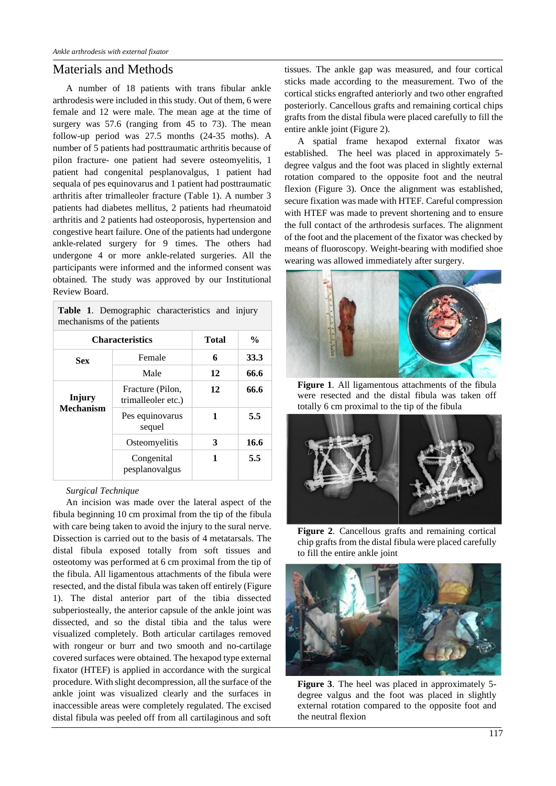## Materials and Methods

A number of 18 patients with trans fibular ankle arthrodesis were included in this study. Out of them, 6 were female and 12 were male. The mean age at the time of surgery was 57.6 (ranging from 45 to 73). The mean follow-up period was 27.5 months (24-35 moths). A number of 5 patients had posttraumatic arthritis because of pilon fracture- one patient had severe osteomyelitis, 1 patient had congenital pesplanovalgus, 1 patient had sequala of pes equinovarus and 1 patient had posttraumatic arthritis after trimalleoler fracture (Table 1). A number 3 patients had diabetes mellitus, 2 patients had rheumatoid arthritis and 2 patients had osteoporosis, hypertension and congestive heart failure. One of the patients had undergone ankle-related surgery for 9 times. The others had undergone 4 or more ankle-related surgeries. All the participants were informed and the informed consent was obtained. The study was approved by our Institutional Review Board.

| <b>Table 1.</b> Demographic characteristics and injury<br>mechanisms of the patients |                                        |       |               |  |
|--------------------------------------------------------------------------------------|----------------------------------------|-------|---------------|--|
| <b>Characteristics</b>                                                               |                                        | Total | $\frac{0}{0}$ |  |
| Sex                                                                                  | Female                                 | 6     | 33.3          |  |
|                                                                                      | Male                                   | 12    | 66.6          |  |
| Injury<br><b>Mechanism</b>                                                           | Fracture (Pilon,<br>trimalleoler etc.) | 12    | 66.6          |  |
|                                                                                      | Pes equinovarus<br>sequel              | 1     | 5.5           |  |
|                                                                                      | Osteomyelitis                          | 3     | 16.6          |  |
|                                                                                      | Congenital<br>pesplanovalgus           | 1     | 5.5           |  |

#### *Surgical Technique*

An incision was made over the lateral aspect of the fibula beginning 10 cm proximal from the tip of the fibula with care being taken to avoid the injury to the sural nerve. Dissection is carried out to the basis of 4 metatarsals. The distal fibula exposed totally from soft tissues and osteotomy was performed at 6 cm proximal from the tip of the fibula. All ligamentous attachments of the fibula were resected, and the distal fibula was taken off entirely (Figure 1). The distal anterior part of the tibia dissected subperiosteally, the anterior capsule of the ankle joint was dissected, and so the distal tibia and the talus were visualized completely. Both articular cartilages removed with rongeur or burr and two smooth and no-cartilage covered surfaces were obtained. The hexapod type external fixator (HTEF) is applied in accordance with the surgical procedure. With slight decompression, all the surface of the ankle joint was visualized clearly and the surfaces in inaccessible areas were completely regulated. The excised distal fibula was peeled off from all cartilaginous and soft tissues. The ankle gap was measured, and four cortical sticks made according to the measurement. Two of the cortical sticks engrafted anteriorly and two other engrafted posteriorly. Cancellous grafts and remaining cortical chips grafts from the distal fibula were placed carefully to fill the entire ankle joint (Figure 2).

A spatial frame hexapod external fixator was established. The heel was placed in approximately 5 degree valgus and the foot was placed in slightly external rotation compared to the opposite foot and the neutral flexion (Figure 3). Once the alignment was established, secure fixation was made with HTEF. Careful compression with HTEF was made to prevent shortening and to ensure the full contact of the arthrodesis surfaces. The alignment of the foot and the placement of the fixator was checked by means of fluoroscopy. Weight-bearing with modified shoe wearing was allowed immediately after surgery.



**Figure 1**. All ligamentous attachments of the fibula were resected and the distal fibula was taken off totally 6 cm proximal to the tip of the fibula



**Figure 2**. Cancellous grafts and remaining cortical chip grafts from the distal fibula were placed carefully to fill the entire ankle joint



**Figure 3**. The heel was placed in approximately 5 degree valgus and the foot was placed in slightly external rotation compared to the opposite foot and the neutral flexion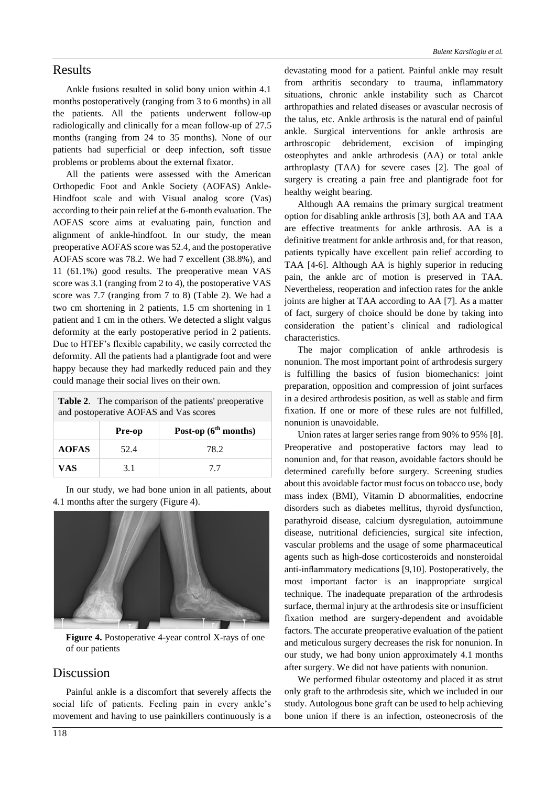#### Results

Ankle fusions resulted in solid bony union within 4.1 months postoperatively (ranging from 3 to 6 months) in all the patients. All the patients underwent follow-up radiologically and clinically for a mean follow-up of 27.5 months (ranging from 24 to 35 months). None of our patients had superficial or deep infection, soft tissue problems or problems about the external fixator.

All the patients were assessed with the American Orthopedic Foot and Ankle Society (AOFAS) Ankle-Hindfoot scale and with Visual analog score (Vas) according to their pain relief at the 6-month evaluation. The AOFAS score aims at evaluating pain, function and alignment of ankle-hindfoot. In our study, the mean preoperative AOFAS score was 52.4, and the postoperative AOFAS score was 78.2. We had 7 excellent (38.8%), and 11 (61.1%) good results. The preoperative mean VAS score was 3.1 (ranging from 2 to 4), the postoperative VAS score was 7.7 (ranging from 7 to 8) (Table 2). We had a two cm shortening in 2 patients, 1.5 cm shortening in 1 patient and 1 cm in the others. We detected a slight valgus deformity at the early postoperative period in 2 patients. Due to HTEF's flexible capability, we easily corrected the deformity. All the patients had a plantigrade foot and were happy because they had markedly reduced pain and they could manage their social lives on their own.

| <b>Table 2.</b> The comparison of the patients' preoperative<br>and postoperative AOFAS and Vas scores |        |                        |  |
|--------------------------------------------------------------------------------------------------------|--------|------------------------|--|
|                                                                                                        | Pre-op | Post-op $(6th months)$ |  |
| <b>AOFAS</b>                                                                                           | 52.4   | 78.2                   |  |
| VAS                                                                                                    | 3.1    | 77                     |  |

In our study, we had bone union in all patients, about 4.1 months after the surgery (Figure 4).



**Figure 4.** Postoperative 4-year control X-rays of one of our patients

#### Discussion

Painful ankle is a discomfort that severely affects the social life of patients. Feeling pain in every ankle's movement and having to use painkillers continuously is a devastating mood for a patient. Painful ankle may result from arthritis secondary to trauma, inflammatory situations, chronic ankle instability such as Charcot arthropathies and related diseases or avascular necrosis of the talus, etc. Ankle arthrosis is the natural end of painful ankle. Surgical interventions for ankle arthrosis are arthroscopic debridement, excision of impinging osteophytes and ankle arthrodesis (AA) or total ankle arthroplasty (TAA) for severe cases [2]. The goal of surgery is creating a pain free and plantigrade foot for healthy weight bearing.

Although AA remains the primary surgical treatment option for disabling ankle arthrosis [3], both AA and TAA are effective treatments for ankle arthrosis. AA is a definitive treatment for ankle arthrosis and, for that reason, patients typically have excellent pain relief according to TAA [4-6]. Although AA is highly superior in reducing pain, the ankle arc of motion is preserved in TAA. Nevertheless, reoperation and infection rates for the ankle joints are higher at TAA according to AA [7]. As a matter of fact, surgery of choice should be done by taking into consideration the patient's clinical and radiological characteristics.

The major complication of ankle arthrodesis is nonunion. The most important point of arthrodesis surgery is fulfilling the basics of fusion biomechanics: joint preparation, opposition and compression of joint surfaces in a desired arthrodesis position, as well as stable and firm fixation. If one or more of these rules are not fulfilled, nonunion is unavoidable.

Union rates at larger series range from 90% to 95% [8]. Preoperative and postoperative factors may lead to nonunion and, for that reason, avoidable factors should be determined carefully before surgery. Screening studies about this avoidable factor must focus on tobacco use, body mass index (BMI), Vitamin D abnormalities, endocrine disorders such as diabetes mellitus, thyroid dysfunction, parathyroid disease, calcium dysregulation, autoimmune disease, nutritional deficiencies, surgical site infection, vascular problems and the usage of some pharmaceutical agents such as high-dose corticosteroids and nonsteroidal anti-inflammatory medications [9,10]. Postoperatively, the most important factor is an inappropriate surgical technique. The inadequate preparation of the arthrodesis surface, thermal injury at the arthrodesis site or insufficient fixation method are surgery-dependent and avoidable factors. The accurate preoperative evaluation of the patient and meticulous surgery decreases the risk for nonunion. In our study, we had bony union approximately 4.1 months after surgery. We did not have patients with nonunion.

We performed fibular osteotomy and placed it as strut only graft to the arthrodesis site, which we included in our study. Autologous bone graft can be used to help achieving bone union if there is an infection, osteonecrosis of the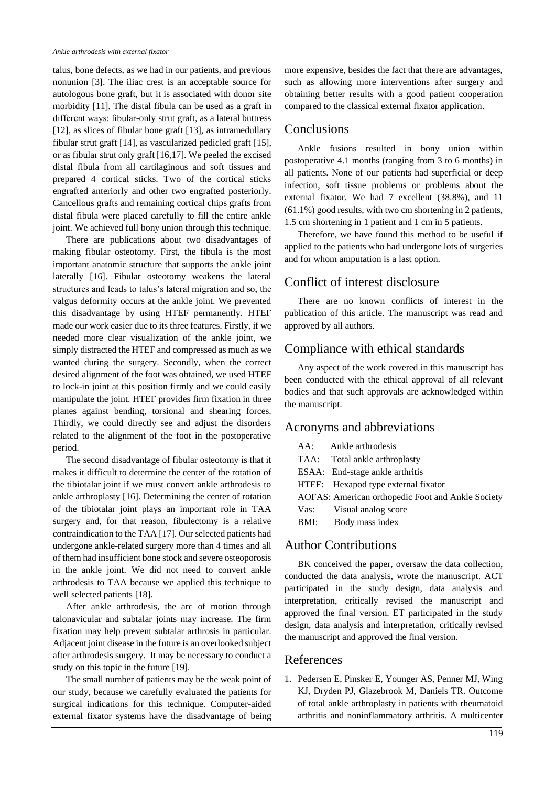talus, bone defects, as we had in our patients, and previous nonunion [3]. The iliac crest is an acceptable source for autologous bone graft, but it is associated with donor site morbidity [11]. The distal fibula can be used as a graft in different ways: fibular-only strut graft, as a lateral buttress [12], as slices of fibular bone graft [13], as intramedullary fibular strut graft [14], as vascularized pedicled graft [15], or as fibular strut only graft [16,17]. We peeled the excised distal fibula from all cartilaginous and soft tissues and prepared 4 cortical sticks. Two of the cortical sticks engrafted anteriorly and other two engrafted posteriorly. Cancellous grafts and remaining cortical chips grafts from distal fibula were placed carefully to fill the entire ankle joint. We achieved full bony union through this technique.

There are publications about two disadvantages of making fibular osteotomy. First, the fibula is the most important anatomic structure that supports the ankle joint laterally [16]. Fibular osteotomy weakens the lateral structures and leads to talus's lateral migration and so, the valgus deformity occurs at the ankle joint. We prevented this disadvantage by using HTEF permanently. HTEF made our work easier due to its three features. Firstly, if we needed more clear visualization of the ankle joint, we simply distracted the HTEF and compressed as much as we wanted during the surgery. Secondly, when the correct desired alignment of the foot was obtained, we used HTEF to lock-in joint at this position firmly and we could easily manipulate the joint. HTEF provides firm fixation in three planes against bending, torsional and shearing forces. Thirdly, we could directly see and adjust the disorders related to the alignment of the foot in the postoperative period.

The second disadvantage of fibular osteotomy is that it makes it difficult to determine the center of the rotation of the tibiotalar joint if we must convert ankle arthrodesis to ankle arthroplasty [16]. Determining the center of rotation of the tibiotalar joint plays an important role in TAA surgery and, for that reason, fibulectomy is a relative contraindication to the TAA [17]. Our selected patients had undergone ankle-related surgery more than 4 times and all of them had insufficient bone stock and severe osteoporosis in the ankle joint. We did not need to convert ankle arthrodesis to TAA because we applied this technique to well selected patients [18].

After ankle arthrodesis, the arc of motion through talonavicular and subtalar joints may increase. The firm fixation may help prevent subtalar arthrosis in particular. Adjacent joint disease in the future is an overlooked subject after arthrodesis surgery. It may be necessary to conduct a study on this topic in the future [19].

The small number of patients may be the weak point of our study, because we carefully evaluated the patients for surgical indications for this technique. Computer-aided external fixator systems have the disadvantage of being more expensive, besides the fact that there are advantages, such as allowing more interventions after surgery and obtaining better results with a good patient cooperation compared to the classical external fixator application.

#### Conclusions

Ankle fusions resulted in bony union within postoperative 4.1 months (ranging from 3 to 6 months) in all patients. None of our patients had superficial or deep infection, soft tissue problems or problems about the external fixator. We had 7 excellent (38.8%), and 11 (61.1%) good results, with two cm shortening in 2 patients, 1.5 cm shortening in 1 patient and 1 cm in 5 patients.

Therefore, we have found this method to be useful if applied to the patients who had undergone lots of surgeries and for whom amputation is a last option.

## Conflict of interest disclosure

There are no known conflicts of interest in the publication of this article. The manuscript was read and approved by all authors.

## Compliance with ethical standards

Any aspect of the work covered in this manuscript has been conducted with the ethical approval of all relevant bodies and that such approvals are acknowledged within the manuscript.

#### Acronyms and abbreviations

|                                                   | AA: Ankle arthrodesis               |  |
|---------------------------------------------------|-------------------------------------|--|
|                                                   | TAA: Total ankle arthroplasty       |  |
|                                                   | ESAA: End-stage ankle arthritis     |  |
|                                                   | HTEF: Hexapod type external fixator |  |
| AOFAS: American orthopedic Foot and Ankle Society |                                     |  |
|                                                   | Vas: Visual analog score            |  |
| BMI:                                              | Body mass index                     |  |

## Author Contributions

BK conceived the paper, oversaw the data collection, conducted the data analysis, wrote the manuscript. ACT participated in the study design, data analysis and interpretation, critically revised the manuscript and approved the final version. ET participated in the study design, data analysis and interpretation, critically revised the manuscript and approved the final version.

#### References

1. Pedersen E, Pinsker E, Younger AS, Penner MJ, Wing KJ, Dryden PJ, Glazebrook M, Daniels TR. Outcome of total ankle arthroplasty in patients with rheumatoid arthritis and noninflammatory arthritis. A multicenter